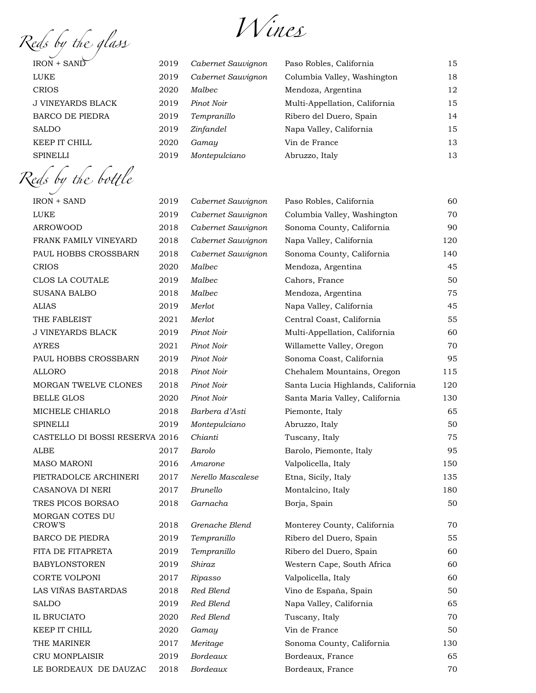*Reds by the glass Wines* 

| $IRON + SAND$            | 2019 | Cabernet Sauvignon | Paso Robles, California       | 15 |
|--------------------------|------|--------------------|-------------------------------|----|
| LUKE                     | 2019 | Cabernet Sauvignon | Columbia Valley, Washington   | 18 |
| <b>CRIOS</b>             | 2020 | Malbec             | Mendoza, Argentina            | 12 |
| <b>J VINEYARDS BLACK</b> | 2019 | Pinot Noir         | Multi-Appellation, California | 15 |
| <b>BARCO DE PIEDRA</b>   | 2019 | Tempranillo        | Ribero del Duero, Spain       | 14 |
| <b>SALDO</b>             | 2019 | Zinfandel          | Napa Valley, California       | 15 |
| KEEP IT CHILL            | 2020 | Gamay              | Vin de France                 | 13 |
| <b>SPINELLI</b>          | 2019 | Montepulciano      | Abruzzo, Italy                | 13 |
|                          |      |                    |                               |    |

*Reds by* the *bo*tt*le* IRON + SAND 2019 *Cabernet Sauvignon* Paso Robles, California 60 LUKE 2019 *Cabernet Sauvignon* Columbia Valley, Washington 70 ARROWOOD 2018 *Cabernet Sauvignon* Sonoma County, California 90 FRANK FAMILY VINEYARD 2018 *Cabernet Sauvignon* Napa Valley, California 120 PAUL HOBBS CROSSBARN 2018 *Cabernet Sauvignon* Sonoma County, California 140 CRIOS 2020 *Malbec* Mendoza, Argentina 45 CLOS LA COUTALE 2019 *Malbec* Cahors, France 50 SUSANA BALBO 2018 *Malbec* Mendoza, Argentina 75 ALIAS 2019 *Merlot* Napa Valley, California 45 THE FABLEIST 2021 *Merlot* Central Coast, California 55 J VINEYARDS BLACK 2019 *Pinot Noir* Multi-Appellation, California 60 AYRES 2021 *Pinot Noir* Willamette Valley, Oregon 70 PAUL HOBBS CROSSBARN 2019 *Pinot Noir* Sonoma Coast, California 95 ALLORO 2018 *Pinot Noir* Chehalem Mountains, Oregon 115 MORGAN TWELVE CLONES 2018 *Pinot Noir* Santa Lucia Highlands, California 120 BELLE GLOS 2020 *Pinot Noir* Santa Maria Valley, California 130 MICHELE CHIARLO 2018 *Barbera d'Asti* Piemonte, Italy 65 SPINELLI 2019 *Montepulciano* Abruzzo, Italy 50 CASTELLO DI BOSSI RESERVA 2016 *Chianti* Tuscany, Italy 75 ALBE 2017 *Barolo* Barolo, Piemonte, Italy 95 MASO MARONI 2016 *Amarone* Valpolicella, Italy 150 PIETRADOLCE ARCHINERI 2017 *Nerello Mascalese* Etna, Sicily, Italy 135 CASANOVA DI NERI 2017 *Brunello* Montalcino, Italy 180 TRES PICOS BORSAO 2018 *Garnacha* Borja, Spain 50 MORGAN COTES DU 2018 *Grenache Blend* Monterey County, California 70 BARCO DE PIEDRA 2019 *Tempranillo* Ribero del Duero, Spain 55 FITA DE FITAPRETA 2019 *Tempranillo* Ribero del Duero, Spain 60 BABYLONSTOREN 2019 *Shiraz* Western Cape, South Africa 60 CORTE VOLPONI 2017 *Ripasso* Valpolicella, Italy 60 LAS VIÑAS BASTARDAS 2018 *Red Blend* Vino de España, Spain 50 SALDO 2019 *Red Blend* Napa Valley, California 65 IL BRUCIATO 2020 *Red Blend* Tuscany, Italy 70 KEEP IT CHILL 2020 *Gamay* Vin de France 50 THE MARINER 2017 *Meritage* Sonoma County, California 130

CRU MONPLAISIR 2019 *Bordeaux* Bordeaux, France 65 LE BORDEAUX DE DAUZAC 2018 *Bordeaux* Bordeaux, France 70